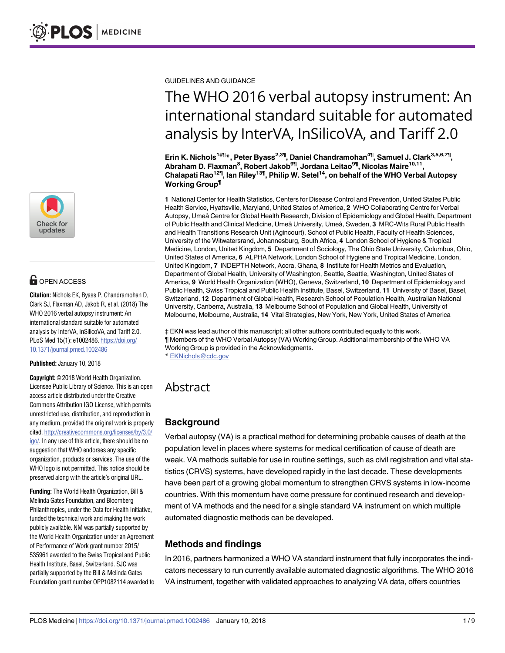

# **G** OPEN ACCESS

**Citation:** Nichols EK, Byass P, Chandramohan D, Clark SJ, Flaxman AD, Jakob R, et al. (2018) The WHO 2016 verbal autopsy instrument: An international standard suitable for automated analysis by InterVA, InSilicoVA, and Tariff 2.0. PLoS Med 15(1): e1002486. [https://doi.org/](https://doi.org/10.1371/journal.pmed.1002486) [10.1371/journal.pmed.1002486](https://doi.org/10.1371/journal.pmed.1002486)

**Published:** January 10, 2018

**Copyright:** © 2018 World Health Organization. Licensee Public Library of Science. This is an open access article distributed under the Creative Commons Attribution IGO License, which permits unrestricted use, distribution, and reproduction in any medium, provided the original work is properly cited. [http://creativecommons.org/licenses/by/3.0/](http://creativecommons.org/licenses/by/3.0/igo/) [igo/](http://creativecommons.org/licenses/by/3.0/igo/). In any use of this article, there should be no suggestion that WHO endorses any specific organization, products or services. The use of the WHO logo is not permitted. This notice should be preserved along with the article's original URL.

**Funding:** The World Health Organization, Bill & Melinda Gates Foundation, and Bloomberg Philanthropies, under the Data for Health Initiative, funded the technical work and making the work publicly available. NM was partially supported by the World Health Organization under an Agreement of Performance of Work grant number 2015/ 535961 awarded to the Swiss Tropical and Public Health Institute, Basel, Switzerland. SJC was partially supported by the Bill & Melinda Gates Foundation grant number OPP1082114 awarded to GUIDELINES AND GUIDANCE

# The WHO 2016 verbal autopsy instrument: An international standard suitable for automated analysis by InterVA, InSilicoVA, and Tariff 2.0

**Erin K. Nichols1‡¶\*, Peter Byass2,3¶, Daniel Chandramohan4¶, Samuel J. Clark3,5,6,7¶, Abraham D. Flaxman8 , Robert Jakob9¶, Jordana Leitao9¶, Nicolas Maire10,11, Chalapati Rao12¶, Ian Riley13¶, Philip W. Setel14, on behalf of the WHO Verbal Autopsy Working Group¶**

**1** National Center for Health Statistics, Centers for Disease Control and Prevention, United States Public Health Service, Hyattsville, Maryland, United States of America, **2** WHO Collaborating Centre for Verbal Autopsy, Umeå Centre for Global Health Research, Division of Epidemiology and Global Health, Department of Public Health and Clinical Medicine, Umeå University, Umeå, Sweden, **3** MRC-Wits Rural Public Health and Health Transitions Research Unit (Agincourt), School of Public Health, Faculty of Health Sciences, University of the Witwatersrand, Johannesburg, South Africa, **4** London School of Hygiene & Tropical Medicine, London, United Kingdom, **5** Department of Sociology, The Ohio State University, Columbus, Ohio, United States of America, **6** ALPHA Network, London School of Hygiene and Tropical Medicine, London, United Kingdom, **7** INDEPTH Network, Accra, Ghana, **8** Institute for Health Metrics and Evaluation, Department of Global Health, University of Washington, Seattle, Seattle, Washington, United States of America, **9** World Health Organization (WHO), Geneva, Switzerland, **10** Department of Epidemiology and Public Health, Swiss Tropical and Public Health Institute, Basel, Switzerland, **11** University of Basel, Basel, Switzerland, **12** Department of Global Health, Research School of Population Health, Australian National University, Canberra, Australia, **13** Melbourne School of Population and Global Health, University of Melbourne, Melbourne, Australia, **14** Vital Strategies, New York, New York, United States of America

‡ EKN was lead author of this manuscript; all other authors contributed equally to this work. ¶ Members of the WHO Verbal Autopsy (VA) Working Group. Additional membership of the WHO VA Working Group is provided in the Acknowledgments. \* EKNichols@cdc.gov

# Abstract

# **Background**

Verbal autopsy (VA) is a practical method for determining probable causes of death at the population level in places where systems for medical certification of cause of death are weak. VA methods suitable for use in routine settings, such as civil registration and vital statistics (CRVS) systems, have developed rapidly in the last decade. These developments have been part of a growing global momentum to strengthen CRVS systems in low-income countries. With this momentum have come pressure for continued research and development of VA methods and the need for a single standard VA instrument on which multiple automated diagnostic methods can be developed.

# **Methods and findings**

In 2016, partners harmonized a WHO VA standard instrument that fully incorporates the indicators necessary to run currently available automated diagnostic algorithms. The WHO 2016 VA instrument, together with validated approaches to analyzing VA data, offers countries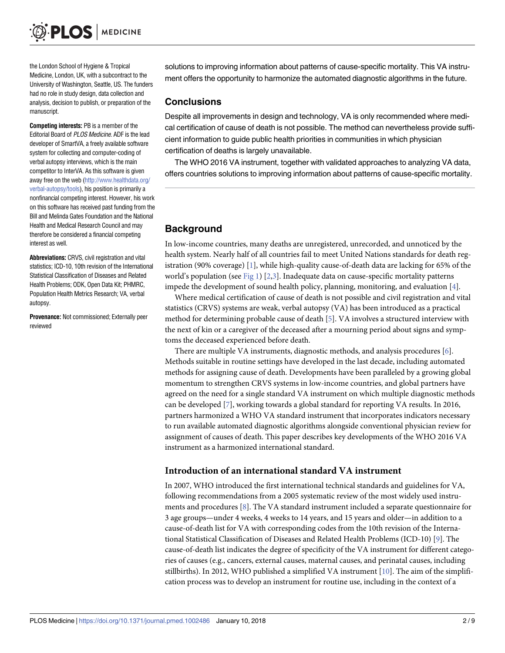<span id="page-1-0"></span>the London School of Hygiene & Tropical Medicine, London, UK, with a subcontract to the University of Washington, Seattle, US. The funders had no role in study design, data collection and analysis, decision to publish, or preparation of the manuscript.

**Competing interests:** PB is a member of the Editorial Board of PLOS Medicine. ADF is the lead developer of SmartVA, a freely available software system for collecting and computer-coding of verbal autopsy interviews, which is the main competitor to InterVA. As this software is given away free on the web [\(http://www.healthdata.org/](http://www.healthdata.org/verbal-autopsy/tools) [verbal-autopsy/tools](http://www.healthdata.org/verbal-autopsy/tools)), his position is primarily a nonfinancial competing interest. However, his work on this software has received past funding from the Bill and Melinda Gates Foundation and the National Health and Medical Research Council and may therefore be considered a financial competing interest as well.

**Abbreviations:** CRVS, civil registration and vital statistics; ICD-10, 10th revision of the International Statistical Classification of Diseases and Related Health Problems; ODK, Open Data Kit; PHMRC, Population Health Metrics Research; VA, verbal autopsy.

**Provenance:** Not commissioned; Externally peer reviewed

solutions to improving information about patterns of cause-specific mortality. This VA instrument offers the opportunity to harmonize the automated diagnostic algorithms in the future.

#### **Conclusions**

Despite all improvements in design and technology, VA is only recommended where medical certification of cause of death is not possible. The method can nevertheless provide sufficient information to guide public health priorities in communities in which physician certification of deaths is largely unavailable.

The WHO 2016 VA instrument, together with validated approaches to analyzing VA data, offers countries solutions to improving information about patterns of cause-specific mortality.

# **Background**

In low-income countries, many deaths are unregistered, unrecorded, and unnoticed by the health system. Nearly half of all countries fail to meet United Nations standards for death registration (90% coverage) [\[1](#page-7-0)], while high-quality cause-of-death data are lacking for 65% of the world's population (see [Fig](#page-2-0) 1) [\[2,3](#page-7-0)]. Inadequate data on cause-specific mortality patterns impede the development of sound health policy, planning, monitoring, and evaluation [\[4\]](#page-7-0).

Where medical certification of cause of death is not possible and civil registration and vital statistics (CRVS) systems are weak, verbal autopsy (VA) has been introduced as a practical method for determining probable cause of death [\[5\]](#page-7-0). VA involves a structured interview with the next of kin or a caregiver of the deceased after a mourning period about signs and symptoms the deceased experienced before death.

There are multiple VA instruments, diagnostic methods, and analysis procedures [[6](#page-7-0)]. Methods suitable in routine settings have developed in the last decade, including automated methods for assigning cause of death. Developments have been paralleled by a growing global momentum to strengthen CRVS systems in low-income countries, and global partners have agreed on the need for a single standard VA instrument on which multiple diagnostic methods can be developed [[7\]](#page-7-0), working towards a global standard for reporting VA results. In 2016, partners harmonized a WHO VA standard instrument that incorporates indicators necessary to run available automated diagnostic algorithms alongside conventional physician review for assignment of causes of death. This paper describes key developments of the WHO 2016 VA instrument as a harmonized international standard.

#### **Introduction of an international standard VA instrument**

In 2007, WHO introduced the first international technical standards and guidelines for VA, following recommendations from a 2005 systematic review of the most widely used instruments and procedures [\[8\]](#page-7-0). The VA standard instrument included a separate questionnaire for 3 age groups—under 4 weeks, 4 weeks to 14 years, and 15 years and older—in addition to a cause-of-death list for VA with corresponding codes from the 10th revision of the International Statistical Classification of Diseases and Related Health Problems (ICD-10) [[9](#page-7-0)]. The cause-of-death list indicates the degree of specificity of the VA instrument for different categories of causes (e.g., cancers, external causes, maternal causes, and perinatal causes, including stillbirths). In 2012, WHO published a simplified VA instrument [\[10\]](#page-7-0). The aim of the simplification process was to develop an instrument for routine use, including in the context of a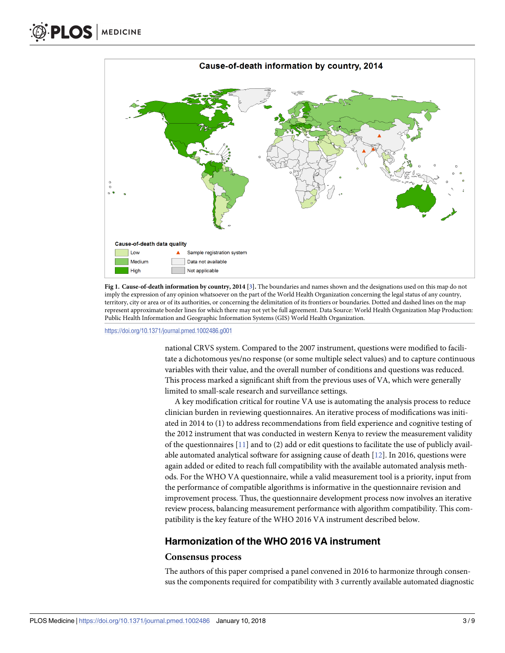<span id="page-2-0"></span>

**[Fig](#page-1-0) 1. Cause-of-death information by country, 2014 [\[3](#page-7-0)].** The boundaries and names shown and the designations used on this map do not imply the expression of any opinion whatsoever on the part of the World Health Organization concerning the legal status of any country, territory, city or area or of its authorities, or concerning the delimitation of its frontiers or boundaries. Dotted and dashed lines on the map represent approximate border lines for which there may not yet be full agreement. Data Source: World Health Organization Map Production: Public Health Information and Geographic Information Systems (GIS) World Health Organization.

<https://doi.org/10.1371/journal.pmed.1002486.g001>

national CRVS system. Compared to the 2007 instrument, questions were modified to facilitate a dichotomous yes/no response (or some multiple select values) and to capture continuous variables with their value, and the overall number of conditions and questions was reduced. This process marked a significant shift from the previous uses of VA, which were generally limited to small-scale research and surveillance settings.

A key modification critical for routine VA use is automating the analysis process to reduce clinician burden in reviewing questionnaires. An iterative process of modifications was initiated in 2014 to (1) to address recommendations from field experience and cognitive testing of the 2012 instrument that was conducted in western Kenya to review the measurement validity of the questionnaires [[11](#page-7-0)] and to (2) add or edit questions to facilitate the use of publicly available automated analytical software for assigning cause of death [\[12\]](#page-7-0). In 2016, questions were again added or edited to reach full compatibility with the available automated analysis methods. For the WHO VA questionnaire, while a valid measurement tool is a priority, input from the performance of compatible algorithms is informative in the questionnaire revision and improvement process. Thus, the questionnaire development process now involves an iterative review process, balancing measurement performance with algorithm compatibility. This compatibility is the key feature of the WHO 2016 VA instrument described below.

#### **Harmonization of the WHO 2016 VA instrument**

#### **Consensus process**

The authors of this paper comprised a panel convened in 2016 to harmonize through consensus the components required for compatibility with 3 currently available automated diagnostic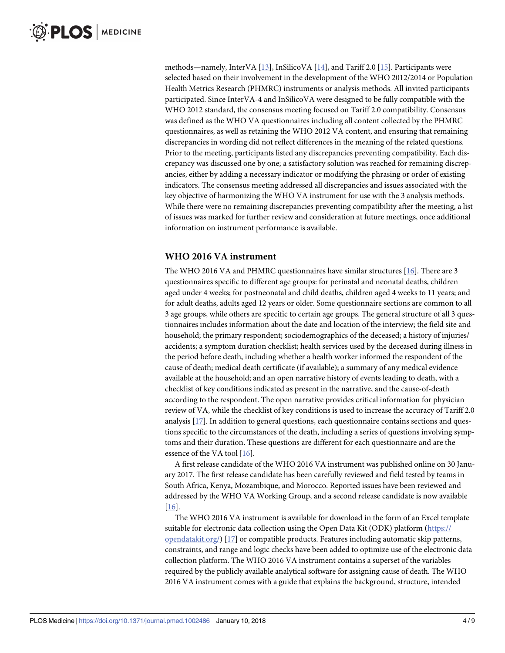<span id="page-3-0"></span>methods—namely, InterVA [[13](#page-7-0)], InSilicoVA [\[14\]](#page-8-0), and Tariff 2.0 [\[15\]](#page-8-0). Participants were selected based on their involvement in the development of the WHO 2012/2014 or Population Health Metrics Research (PHMRC) instruments or analysis methods. All invited participants participated. Since InterVA-4 and InSilicoVA were designed to be fully compatible with the WHO 2012 standard, the consensus meeting focused on Tariff 2.0 compatibility. Consensus was defined as the WHO VA questionnaires including all content collected by the PHMRC questionnaires, as well as retaining the WHO 2012 VA content, and ensuring that remaining discrepancies in wording did not reflect differences in the meaning of the related questions. Prior to the meeting, participants listed any discrepancies preventing compatibility. Each discrepancy was discussed one by one; a satisfactory solution was reached for remaining discrepancies, either by adding a necessary indicator or modifying the phrasing or order of existing indicators. The consensus meeting addressed all discrepancies and issues associated with the key objective of harmonizing the WHO VA instrument for use with the 3 analysis methods. While there were no remaining discrepancies preventing compatibility after the meeting, a list of issues was marked for further review and consideration at future meetings, once additional information on instrument performance is available.

#### **WHO 2016 VA instrument**

The WHO 20[16](#page-8-0) VA and PHMRC questionnaires have similar structures [16]. There are 3 questionnaires specific to different age groups: for perinatal and neonatal deaths, children aged under 4 weeks; for postneonatal and child deaths, children aged 4 weeks to 11 years; and for adult deaths, adults aged 12 years or older. Some questionnaire sections are common to all 3 age groups, while others are specific to certain age groups. The general structure of all 3 questionnaires includes information about the date and location of the interview; the field site and household; the primary respondent; sociodemographics of the deceased; a history of injuries/ accidents; a symptom duration checklist; health services used by the deceased during illness in the period before death, including whether a health worker informed the respondent of the cause of death; medical death certificate (if available); a summary of any medical evidence available at the household; and an open narrative history of events leading to death, with a checklist of key conditions indicated as present in the narrative, and the cause-of-death according to the respondent. The open narrative provides critical information for physician review of VA, while the checklist of key conditions is used to increase the accuracy of Tariff 2.0 analysis [[17](#page-8-0)]. In addition to general questions, each questionnaire contains sections and questions specific to the circumstances of the death, including a series of questions involving symptoms and their duration. These questions are different for each questionnaire and are the essence of the VA tool [[16](#page-8-0)].

A first release candidate of the WHO 2016 VA instrument was published online on 30 January 2017. The first release candidate has been carefully reviewed and field tested by teams in South Africa, Kenya, Mozambique, and Morocco. Reported issues have been reviewed and addressed by the WHO VA Working Group, and a second release candidate is now available [\[16\]](#page-8-0).

The WHO 2016 VA instrument is available for download in the form of an Excel template suitable for electronic data collection using the Open Data Kit (ODK) platform [\(https://](https://opendatakit.org/) [opendatakit.org/\)](https://opendatakit.org/) [[17](#page-8-0)] or compatible products. Features including automatic skip patterns, constraints, and range and logic checks have been added to optimize use of the electronic data collection platform. The WHO 2016 VA instrument contains a superset of the variables required by the publicly available analytical software for assigning cause of death. The WHO 2016 VA instrument comes with a guide that explains the background, structure, intended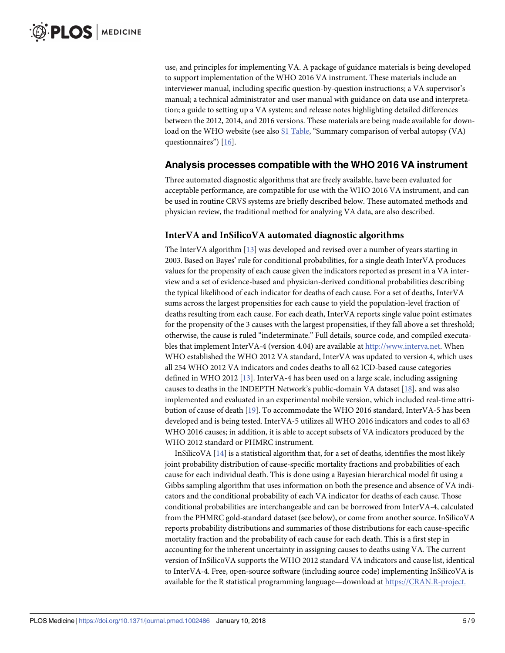<span id="page-4-0"></span>use, and principles for implementing VA. A package of guidance materials is being developed to support implementation of the WHO 2016 VA instrument. These materials include an interviewer manual, including specific question-by-question instructions; a VA supervisor's manual; a technical administrator and user manual with guidance on data use and interpretation; a guide to setting up a VA system; and release notes highlighting detailed differences between the 2012, 2014, and 2016 versions. These materials are being made available for down-load on the WHO website (see also S1 [Table,](#page-6-0) "Summary comparison of verbal autopsy (VA) questionnaires") [\[16\]](#page-8-0).

#### **Analysis processes compatible with the WHO 2016 VA instrument**

Three automated diagnostic algorithms that are freely available, have been evaluated for acceptable performance, are compatible for use with the WHO 2016 VA instrument, and can be used in routine CRVS systems are briefly described below. These automated methods and physician review, the traditional method for analyzing VA data, are also described.

#### **InterVA and InSilicoVA automated diagnostic algorithms**

The InterVA algorithm [[13](#page-7-0)] was developed and revised over a number of years starting in 2003. Based on Bayes' rule for conditional probabilities, for a single death InterVA produces values for the propensity of each cause given the indicators reported as present in a VA interview and a set of evidence-based and physician-derived conditional probabilities describing the typical likelihood of each indicator for deaths of each cause. For a set of deaths, InterVA sums across the largest propensities for each cause to yield the population-level fraction of deaths resulting from each cause. For each death, InterVA reports single value point estimates for the propensity of the 3 causes with the largest propensities, if they fall above a set threshold; otherwise, the cause is ruled "indeterminate." Full details, source code, and compiled executables that implement InterVA-4 (version 4.04) are available at [http://www.interva.net.](http://www.interva.net/) When WHO established the WHO 2012 VA standard, InterVA was updated to version 4, which uses all 254 WHO 2012 VA indicators and codes deaths to all 62 ICD-based cause categories defined in WHO 2012 [\[13\]](#page-7-0). InterVA-4 has been used on a large scale, including assigning causes to deaths in the INDEPTH Network's public-domain VA dataset [\[18\]](#page-8-0), and was also implemented and evaluated in an experimental mobile version, which included real-time attribution of cause of death [[19](#page-8-0)]. To accommodate the WHO 2016 standard, InterVA-5 has been developed and is being tested. InterVA-5 utilizes all WHO 2016 indicators and codes to all 63 WHO 2016 causes; in addition, it is able to accept subsets of VA indicators produced by the WHO 2012 standard or PHMRC instrument.

InSilicoVA  $[14]$  is a statistical algorithm that, for a set of deaths, identifies the most likely joint probability distribution of cause-specific mortality fractions and probabilities of each cause for each individual death. This is done using a Bayesian hierarchical model fit using a Gibbs sampling algorithm that uses information on both the presence and absence of VA indicators and the conditional probability of each VA indicator for deaths of each cause. Those conditional probabilities are interchangeable and can be borrowed from InterVA-4, calculated from the PHMRC gold-standard dataset (see below), or come from another source. InSilicoVA reports probability distributions and summaries of those distributions for each cause-specific mortality fraction and the probability of each cause for each death. This is a first step in accounting for the inherent uncertainty in assigning causes to deaths using VA. The current version of InSilicoVA supports the WHO 2012 standard VA indicators and cause list, identical to InterVA-4. Free, open-source software (including source code) implementing InSilicoVA is available for the R statistical programming language—download at [https://CRAN.R-project.](https://CRAN.R-project.org/package=InSilicoVA)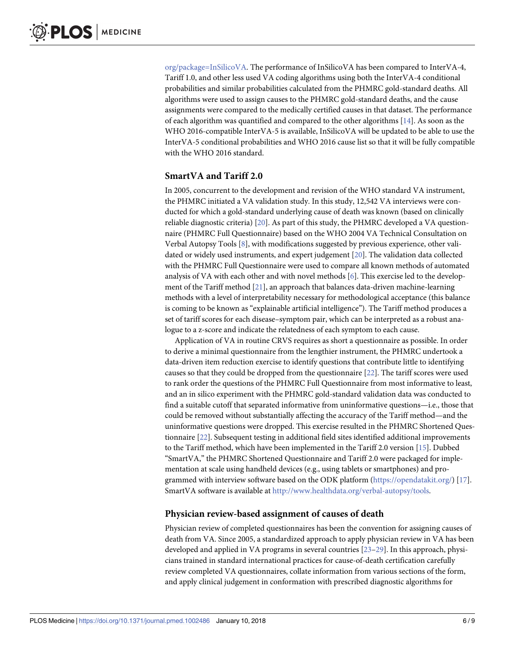<span id="page-5-0"></span>[org/package=InSilicoVA.](https://CRAN.R-project.org/package=InSilicoVA) The performance of InSilicoVA has been compared to InterVA-4, Tariff 1.0, and other less used VA coding algorithms using both the InterVA-4 conditional probabilities and similar probabilities calculated from the PHMRC gold-standard deaths. All algorithms were used to assign causes to the PHMRC gold-standard deaths, and the cause assignments were compared to the medically certified causes in that dataset. The performance of each algorithm was quantified and compared to the other algorithms [[14](#page-8-0)]. As soon as the WHO 2016-compatible InterVA-5 is available, InSilicoVA will be updated to be able to use the InterVA-5 conditional probabilities and WHO 2016 cause list so that it will be fully compatible with the WHO 2016 standard.

#### **SmartVA and Tariff 2.0**

In 2005, concurrent to the development and revision of the WHO standard VA instrument, the PHMRC initiated a VA validation study. In this study, 12,542 VA interviews were conducted for which a gold-standard underlying cause of death was known (based on clinically reliable diagnostic criteria) [\[20\]](#page-8-0). As part of this study, the PHMRC developed a VA questionnaire (PHMRC Full Questionnaire) based on the WHO 2004 VA Technical Consultation on Verbal Autopsy Tools [[8](#page-7-0)], with modifications suggested by previous experience, other validated or widely used instruments, and expert judgement [[20](#page-8-0)]. The validation data collected with the PHMRC Full Questionnaire were used to compare all known methods of automated analysis of VA with each other and with novel methods [[6](#page-7-0)]. This exercise led to the development of the Tariff method [\[21\]](#page-8-0), an approach that balances data-driven machine-learning methods with a level of interpretability necessary for methodological acceptance (this balance is coming to be known as "explainable artificial intelligence"). The Tariff method produces a set of tariff scores for each disease–symptom pair, which can be interpreted as a robust analogue to a z-score and indicate the relatedness of each symptom to each cause.

Application of VA in routine CRVS requires as short a questionnaire as possible. In order to derive a minimal questionnaire from the lengthier instrument, the PHMRC undertook a data-driven item reduction exercise to identify questions that contribute little to identifying causes so that they could be dropped from the questionnaire [[22](#page-8-0)]. The tariff scores were used to rank order the questions of the PHMRC Full Questionnaire from most informative to least, and an in silico experiment with the PHMRC gold-standard validation data was conducted to find a suitable cutoff that separated informative from uninformative questions—i.e., those that could be removed without substantially affecting the accuracy of the Tariff method—and the uninformative questions were dropped. This exercise resulted in the PHMRC Shortened Questionnaire [\[22\]](#page-8-0). Subsequent testing in additional field sites identified additional improvements to the Tariff method, which have been implemented in the Tariff 2.0 version [[15](#page-8-0)]. Dubbed "SmartVA," the PHMRC Shortened Questionnaire and Tariff 2.0 were packaged for implementation at scale using handheld devices (e.g., using tablets or smartphones) and programmed with interview software based on the ODK platform ([https://opendatakit.org/\)](https://opendatakit.org/) [\[17](#page-8-0)]. SmartVA software is available at <http://www.healthdata.org/verbal-autopsy/tools>.

#### **Physician review-based assignment of causes of death**

Physician review of completed questionnaires has been the convention for assigning causes of death from VA. Since 2005, a standardized approach to apply physician review in VA has been developed and applied in VA programs in several countries [\[23–29](#page-8-0)]. In this approach, physicians trained in standard international practices for cause-of-death certification carefully review completed VA questionnaires, collate information from various sections of the form, and apply clinical judgement in conformation with prescribed diagnostic algorithms for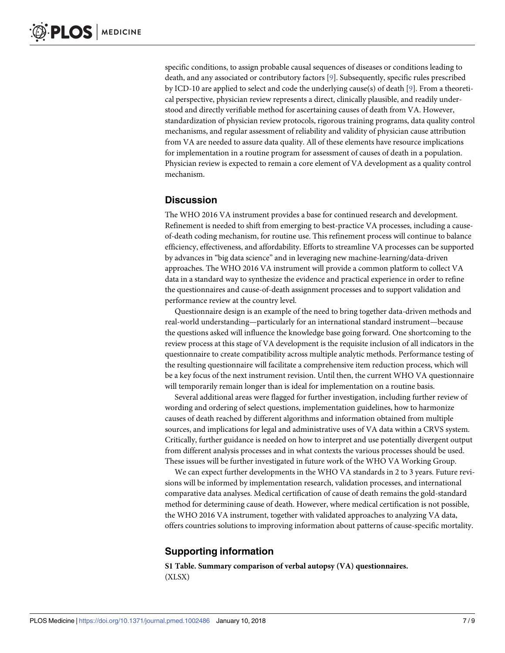<span id="page-6-0"></span>specific conditions, to assign probable causal sequences of diseases or conditions leading to death, and any associated or contributory factors [\[9](#page-7-0)]. Subsequently, specific rules prescribed by ICD-10 are applied to select and code the underlying cause(s) of death [[9\]](#page-7-0). From a theoretical perspective, physician review represents a direct, clinically plausible, and readily understood and directly verifiable method for ascertaining causes of death from VA. However, standardization of physician review protocols, rigorous training programs, data quality control mechanisms, and regular assessment of reliability and validity of physician cause attribution from VA are needed to assure data quality. All of these elements have resource implications for implementation in a routine program for assessment of causes of death in a population. Physician review is expected to remain a core element of VA development as a quality control mechanism.

#### **Discussion**

The WHO 2016 VA instrument provides a base for continued research and development. Refinement is needed to shift from emerging to best-practice VA processes, including a causeof-death coding mechanism, for routine use. This refinement process will continue to balance efficiency, effectiveness, and affordability. Efforts to streamline VA processes can be supported by advances in "big data science" and in leveraging new machine-learning/data-driven approaches. The WHO 2016 VA instrument will provide a common platform to collect VA data in a standard way to synthesize the evidence and practical experience in order to refine the questionnaires and cause-of-death assignment processes and to support validation and performance review at the country level.

Questionnaire design is an example of the need to bring together data-driven methods and real-world understanding—particularly for an international standard instrument—because the questions asked will influence the knowledge base going forward. One shortcoming to the review process at this stage of VA development is the requisite inclusion of all indicators in the questionnaire to create compatibility across multiple analytic methods. Performance testing of the resulting questionnaire will facilitate a comprehensive item reduction process, which will be a key focus of the next instrument revision. Until then, the current WHO VA questionnaire will temporarily remain longer than is ideal for implementation on a routine basis.

Several additional areas were flagged for further investigation, including further review of wording and ordering of select questions, implementation guidelines, how to harmonize causes of death reached by different algorithms and information obtained from multiple sources, and implications for legal and administrative uses of VA data within a CRVS system. Critically, further guidance is needed on how to interpret and use potentially divergent output from different analysis processes and in what contexts the various processes should be used. These issues will be further investigated in future work of the WHO VA Working Group.

We can expect further developments in the WHO VA standards in 2 to 3 years. Future revisions will be informed by implementation research, validation processes, and international comparative data analyses. Medical certification of cause of death remains the gold-standard method for determining cause of death. However, where medical certification is not possible, the WHO 2016 VA instrument, together with validated approaches to analyzing VA data, offers countries solutions to improving information about patterns of cause-specific mortality.

# **Supporting information**

**S1 [Table.](http://journals.plos.org/plosmedicine/article/asset?unique&id=info:doi/10.1371/journal.pmed.1002486.s001) Summary comparison of verbal autopsy (VA) questionnaires.** (XLSX)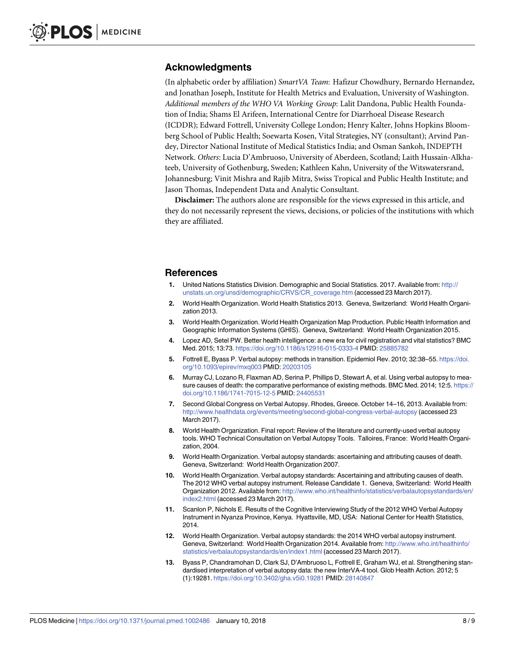#### <span id="page-7-0"></span>**Acknowledgments**

(In alphabetic order by affiliation) *SmartVA Team*: Hafizur Chowdhury, Bernardo Hernandez, and Jonathan Joseph, Institute for Health Metrics and Evaluation, University of Washington. *Additional members of the WHO VA Working Group*: Lalit Dandona, Public Health Foundation of India; Shams El Arifeen, International Centre for Diarrhoeal Disease Research (ICDDR); Edward Fottrell, University College London; Henry Kalter, Johns Hopkins Bloomberg School of Public Health; Soewarta Kosen, Vital Strategies, NY (consultant); Arvind Pandey, Director National Institute of Medical Statistics India; and Osman Sankoh, INDEPTH Network. *Others*: Lucia D'Ambruoso, University of Aberdeen, Scotland; Laith Hussain-Alkhateeb, University of Gothenburg, Sweden; Kathleen Kahn, University of the Witswatersrand, Johannesburg; Vinit Mishra and Rajib Mitra, Swiss Tropical and Public Health Institute; and Jason Thomas, Independent Data and Analytic Consultant.

**Disclaimer:** The authors alone are responsible for the views expressed in this article, and they do not necessarily represent the views, decisions, or policies of the institutions with which they are affiliated.

#### **References**

- **[1](#page-1-0).** United Nations Statistics Division. Demographic and Social Statistics. 2017. Available from: [http://](http://unstats.un.org/unsd/demographic/CRVS/CR_coverage.htm) [unstats.un.org/unsd/demographic/CRVS/CR\\_coverage.htm](http://unstats.un.org/unsd/demographic/CRVS/CR_coverage.htm) (accessed 23 March 2017).
- **[2](#page-1-0).** World Health Organization. World Health Statistics 2013. Geneva, Switzerland: World Health Organization 2013.
- **[3](#page-1-0).** World Health Organization. World Health Organization Map Production. Public Health Information and Geographic Information Systems (GHIS). Geneva, Switzerland: World Health Organization 2015.
- **[4](#page-1-0).** Lopez AD, Setel PW. Better health intelligence: a new era for civil registration and vital statistics? BMC Med. 2015; 13:73. <https://doi.org/10.1186/s12916-015-0333-4> PMID: [25885782](http://www.ncbi.nlm.nih.gov/pubmed/25885782)
- **[5](#page-1-0).** Fottrell E, Byass P. Verbal autopsy: methods in transition. Epidemiol Rev. 2010; 32:38–55. [https://doi.](https://doi.org/10.1093/epirev/mxq003) [org/10.1093/epirev/mxq003](https://doi.org/10.1093/epirev/mxq003) PMID: [20203105](http://www.ncbi.nlm.nih.gov/pubmed/20203105)
- **[6](#page-1-0).** Murray CJ, Lozano R, Flaxman AD, Serina P, Phillips D, Stewart A, et al. Using verbal autopsy to measure causes of death: the comparative performance of existing methods. BMC Med. 2014; 12:5. [https://](https://doi.org/10.1186/1741-7015-12-5) [doi.org/10.1186/1741-7015-12-5](https://doi.org/10.1186/1741-7015-12-5) PMID: [24405531](http://www.ncbi.nlm.nih.gov/pubmed/24405531)
- **[7](#page-1-0).** Second Global Congress on Verbal Autopsy. Rhodes, Greece. October 14–16, 2013. Available from: <http://www.healthdata.org/events/meeting/second-global-congress-verbal-autopsy> (accessed 23 March 2017).
- **[8](#page-1-0).** World Health Organization. Final report: Review of the literature and currently-used verbal autopsy tools. WHO Technical Consultation on Verbal Autopsy Tools. Talloires, France: World Health Organization, 2004.
- **[9](#page-1-0).** World Health Organization. Verbal autopsy standards: ascertaining and attributing causes of death. Geneva, Switzerland: World Health Organization 2007.
- **[10](#page-1-0).** World Health Organization. Verbal autopsy standards: Ascertaining and attributing causes of death. The 2012 WHO verbal autopsy instrument. Release Candidate 1. Geneva, Switzerland: World Health Organization 2012. Available from: [http://www.who.int/healthinfo/statistics/verbalautopsystandards/en/](http://www.who.int/healthinfo/statistics/verbalautopsystandards/en/index2.html) [index2.html](http://www.who.int/healthinfo/statistics/verbalautopsystandards/en/index2.html) (accessed 23 March 2017).
- **[11](#page-2-0).** Scanlon P, Nichols E. Results of the Cognitive Interviewing Study of the 2012 WHO Verbal Autopsy Instrument in Nyanza Province, Kenya. Hyattsville, MD, USA: National Center for Health Statistics, 2014.
- **[12](#page-2-0).** World Health Organization. Verbal autopsy standards: the 2014 WHO verbal autopsy instrument. Geneva, Switzerland: World Health Organization 2014. Available from: [http://www.who.int/healthinfo/](http://www.who.int/healthinfo/statistics/verbalautopsystandards/en/index1.html) [statistics/verbalautopsystandards/en/index1.html](http://www.who.int/healthinfo/statistics/verbalautopsystandards/en/index1.html) (accessed 23 March 2017).
- **[13](#page-3-0).** Byass P, Chandramohan D, Clark SJ, D'Ambruoso L, Fottrell E, Graham WJ, et al. Strengthening standardised interpretation of verbal autopsy data: the new InterVA-4 tool. Glob Health Action. 2012; 5 (1):19281. <https://doi.org/10.3402/gha.v5i0.19281> PMID: [28140847](http://www.ncbi.nlm.nih.gov/pubmed/28140847)